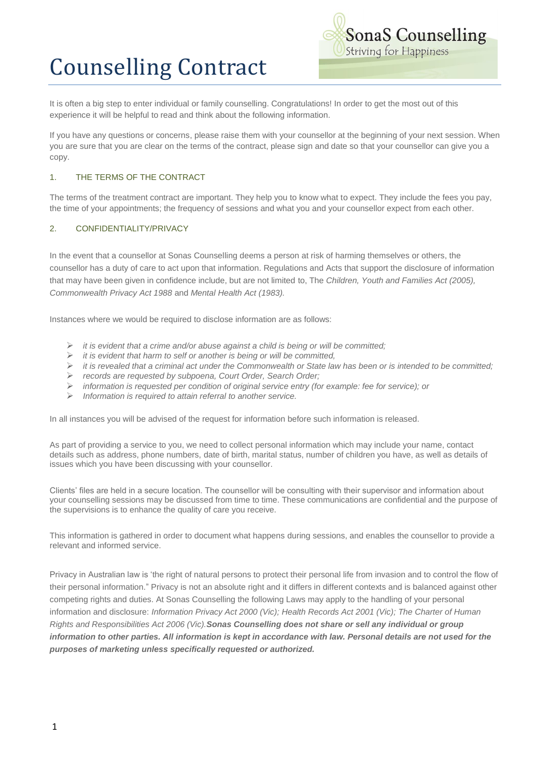# Counselling Contract



It is often a big step to enter individual or family counselling. Congratulations! In order to get the most out of this experience it will be helpful to read and think about the following information.

If you have any questions or concerns, please raise them with your counsellor at the beginning of your next session. When you are sure that you are clear on the terms of the contract, please sign and date so that your counsellor can give you a copy.

# 1. THE TERMS OF THE CONTRACT

The terms of the treatment contract are important. They help you to know what to expect. They include the fees you pay, the time of your appointments; the frequency of sessions and what you and your counsellor expect from each other.

## 2. CONFIDENTIALITY/PRIVACY

In the event that a counsellor at Sonas Counselling deems a person at risk of harming themselves or others, the counsellor has a duty of care to act upon that information. Regulations and Acts that support the disclosure of information that may have been given in confidence include, but are not limited to, The *Children, Youth and Families Act (2005), Commonwealth Privacy Act 1988* and *Mental Health Act (1983).*

Instances where we would be required to disclose information are as follows:

- *it is evident that a crime and/or abuse against a child is being or will be committed;*
- *it is evident that harm to self or another is being or will be committed,*
- *it is revealed that a criminal act under the Commonwealth or State law has been or is intended to be committed;*
- *records are requested by subpoena, Court Order, Search Order;*
- *information is requested per condition of original service entry (for example: fee for service); or*
- *Information is required to attain referral to another service.*

In all instances you will be advised of the request for information before such information is released.

As part of providing a service to you, we need to collect personal information which may include your name, contact details such as address, phone numbers, date of birth, marital status, number of children you have, as well as details of issues which you have been discussing with your counsellor.

Clients' files are held in a secure location. The counsellor will be consulting with their supervisor and information about your counselling sessions may be discussed from time to time. These communications are confidential and the purpose of the supervisions is to enhance the quality of care you receive.

This information is gathered in order to document what happens during sessions, and enables the counsellor to provide a relevant and informed service.

Privacy in Australian law is 'the right of natural persons to protect their personal life from invasion and to control the flow of their personal information." Privacy is not an absolute right and it differs in different contexts and is balanced against other competing rights and duties. At Sonas Counselling the following Laws may apply to the handling of your personal information and disclosure: *[Information Privacy Act 2000 \(Vic\);](http://www.legislation.vic.gov.au/Domino/Web_Notes/LDMS/LTObject_Store/LTObjSt2.nsf/DDE300B846EED9C7CA257616000A3571/8C508B50F3EA009DCA25776100244507/$FILE/00-98a021.pdf) [Health Records Act 2001 \(Vic\);](http://www.legislation.vic.gov.au/Domino/Web_Notes/LDMS/LTObject_Store/LTObjSt6.nsf/DDE300B846EED9C7CA257616000A3571/77FAA53ECDC0DA44CA2579030015D701/$FILE/01-2aa023%20authorised.pdf) [The Charter of Human](http://www.legislation.vic.gov.au/Domino/Web_Notes/LDMS/PubStatbook.nsf/f932b66241ecf1b7ca256e92000e23be/54D73763EF9DCA36CA2571B6002428B0/$FILE/06-043a.pdf)  Rights [and Responsibilities Act 2006 \(Vic\).](http://www.legislation.vic.gov.au/Domino/Web_Notes/LDMS/PubStatbook.nsf/f932b66241ecf1b7ca256e92000e23be/54D73763EF9DCA36CA2571B6002428B0/$FILE/06-043a.pdf)Sonas Counselling does not share or sell any individual or group information to other parties. All information is kept in accordance with law. Personal details are not used for the purposes of marketing unless specifically requested or authorized.*